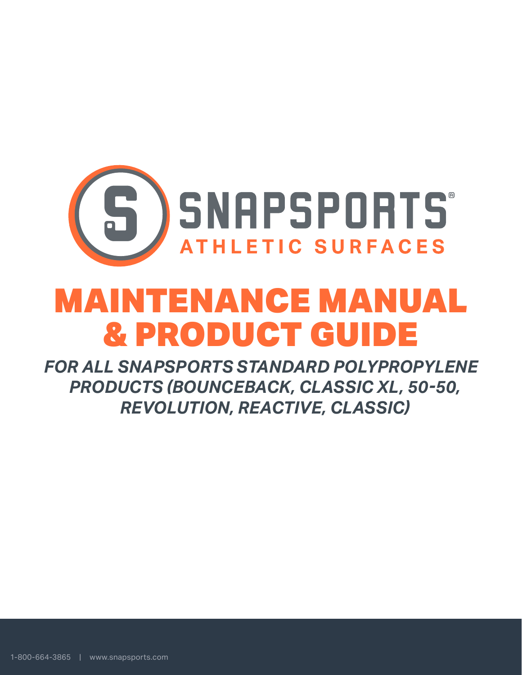

# MAINTENANCE MANUAL & PRODUCT GUIDE

*FOR ALL SNAPSPORTS STANDARD POLYPROPYLENE PRODUCTS (BOUNCEBACK, CLASSIC XL, 50-50, REVOLUTION, REACTIVE, CLASSIC)*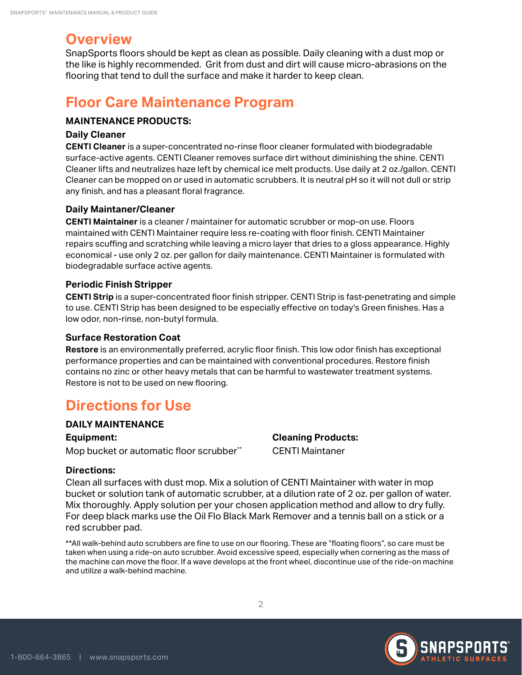# **Overview**

SnapSports floors should be kept as clean as possible. Daily cleaning with a dust mop or the like is highly recommended. Grit from dust and dirt will cause micro-abrasions on the flooring that tend to dull the surface and make it harder to keep clean.

# **Floor Care Maintenance Program**

## **MAINTENANCE PRODUCTS:**

#### **Daily Cleaner**

**CENTI Cleaner** is a super-concentrated no-rinse floor cleaner formulated with biodegradable surface-active agents. CENTI Cleaner removes surface dirt without diminishing the shine. CENTI Cleaner lifts and neutralizes haze left by chemical ice melt products. Use daily at 2 oz./gallon. CENTI Cleaner can be mopped on or used in automatic scrubbers. It is neutral pH so it will not dull or strip any finish, and has a pleasant floral fragrance.

### **Daily Maintaner/Cleaner**

**CENTI Maintainer** is a cleaner / maintainer for automatic scrubber or mop-on use. Floors maintained with CENTI Maintainer require less re-coating with floor finish. CENTI Maintainer repairs scuffing and scratching while leaving a micro layer that dries to a gloss appearance. Highly economical - use only 2 oz. per gallon for daily maintenance. CENTI Maintainer is formulated with biodegradable surface active agents.

### **Periodic Finish Stripper**

**CENTI Strip** is a super-concentrated floor finish stripper. CENTI Strip is fast-penetrating and simple to use. CENTI Strip has been designed to be especially effective on today's Green finishes. Has a low odor, non-rinse, non-butyl formula.

#### **Surface Restoration Coat**

**Restore** is an environmentally preferred, acrylic floor finish. This low odor finish has exceptional performance properties and can be maintained with conventional procedures. Restore finish contains no zinc or other heavy metals that can be harmful to wastewater treatment systems. Restore is not to be used on new flooring.

# **Directions for Use**

#### **DAILY MAINTENANCE**

**Equipment:** 

Mop bucket or automatic floor scrubber\*\*

## **Directions:**

Clean all surfaces with dust mop. Mix a solution of CENTI Maintainer with water in mop bucket or solution tank of automatic scrubber, at a dilution rate of 2 oz. per gallon of water. Mix thoroughly. Apply solution per your chosen application method and allow to dry fully. For deep black marks use the Oil Flo Black Mark Remover and a tennis ball on a stick or a red scrubber pad.

**Cleaning Products:**  CENTI Maintaner

\*\*All walk-behind auto scrubbers are fine to use on our flooring. These are "floating floors", so care must be taken when using a ride-on auto scrubber. Avoid excessive speed, especially when cornering as the mass of the machine can move the floor. If a wave develops at the front wheel, discontinue use of the ride-on machine and utilize a walk-behind machine.

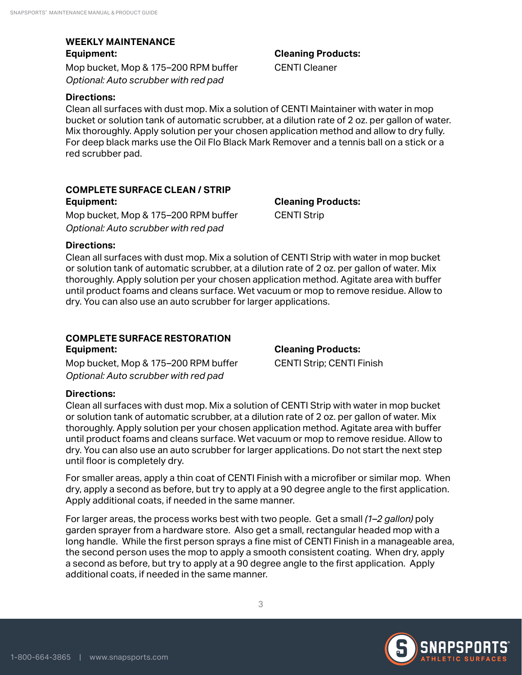### **WEEKLY MAINTENANCE Equipment:**

Mop bucket, Mop & 175–200 RPM buffer *Optional: Auto scrubber with red pad*

#### **Directions:**

Clean all surfaces with dust mop. Mix a solution of CENTI Maintainer with water in mop bucket or solution tank of automatic scrubber, at a dilution rate of 2 oz. per gallon of water. Mix thoroughly. Apply solution per your chosen application method and allow to dry fully. For deep black marks use the Oil Flo Black Mark Remover and a tennis ball on a stick or a red scrubber pad.

# **COMPLETE SURFACE CLEAN / STRIP**

**Equipment:**  Mop bucket, Mop & 175–200 RPM buffer *Optional: Auto scrubber with red pad*

**Cleaning Products:**  CENTI Strip

### **Directions:**

Clean all surfaces with dust mop. Mix a solution of CENTI Strip with water in mop bucket or solution tank of automatic scrubber, at a dilution rate of 2 oz. per gallon of water. Mix thoroughly. Apply solution per your chosen application method. Agitate area with buffer until product foams and cleans surface. Wet vacuum or mop to remove residue. Allow to dry. You can also use an auto scrubber for larger applications.

# **COMPLETE SURFACE RESTORATION**

**Equipment:**  Mop bucket, Mop & 175–200 RPM buffer *Optional: Auto scrubber with red pad*

**Cleaning Products:**  CENTI Strip; CENTI Finish

## **Directions:**

Clean all surfaces with dust mop. Mix a solution of CENTI Strip with water in mop bucket or solution tank of automatic scrubber, at a dilution rate of 2 oz. per gallon of water. Mix thoroughly. Apply solution per your chosen application method. Agitate area with buffer until product foams and cleans surface. Wet vacuum or mop to remove residue. Allow to dry. You can also use an auto scrubber for larger applications. Do not start the next step until floor is completely dry.

For smaller areas, apply a thin coat of CENTI Finish with a microfiber or similar mop. When dry, apply a second as before, but try to apply at a 90 degree angle to the first application. Apply additional coats, if needed in the same manner.

For larger areas, the process works best with two people. Get a small *(1–2 gallon)* poly garden sprayer from a hardware store. Also get a small, rectangular headed mop with a long handle. While the first person sprays a fine mist of CENTI Finish in a manageable area, the second person uses the mop to apply a smooth consistent coating. When dry, apply a second as before, but try to apply at a 90 degree angle to the first application. Apply additional coats, if needed in the same manner.



**Cleaning Products:** 

CENTI Cleaner